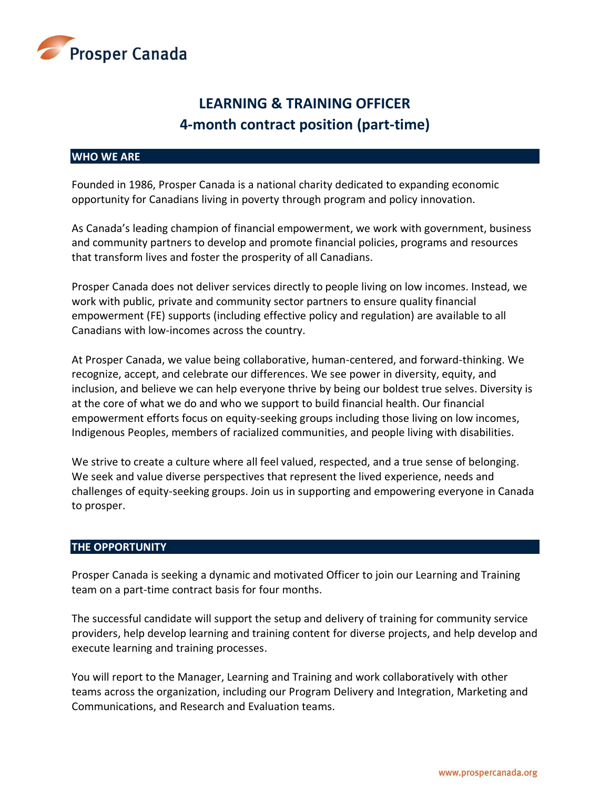

# **LEARNING & TRAINING OFFICER 4-month contract position (part-time)**

# **WHO WE ARE**

Founded in 1986, Prosper Canada is a national charity dedicated to expanding economic opportunity for Canadians living in poverty through program and policy innovation.

As Canada's leading champion of financial empowerment, we work with government, business and community partners to develop and promote financial policies, programs and resources that transform lives and foster the prosperity of all Canadians.

Prosper Canada does not deliver services directly to people living on low incomes. Instead, we work with public, private and community sector partners to ensure quality financial empowerment (FE) supports (including effective policy and regulation) are available to all Canadians with low-incomes across the country.

At Prosper Canada, we value being collaborative, human-centered, and forward-thinking. We recognize, accept, and celebrate our differences. We see power in diversity, equity, and inclusion, and believe we can help everyone thrive by being our boldest true selves. Diversity is at the core of what we do and who we support to build financial health. Our financial empowerment efforts focus on equity-seeking groups including those living on low incomes, Indigenous Peoples, members of racialized communities, and people living with disabilities.

We strive to create a culture where all feel valued, respected, and a true sense of belonging. We seek and value diverse perspectives that represent the lived experience, needs and challenges of equity-seeking groups. Join us in supporting and empowering everyone in Canada to prosper.

#### **THE OPPORTUNITY**

Prosper Canada is seeking a dynamic and motivated Officer to join our Learning and Training team on a part-time contract basis for four months.

The successful candidate will support the setup and delivery of training for community service providers, help develop learning and training content for diverse projects, and help develop and execute learning and training processes.

You will report to the Manager, Learning and Training and work collaboratively with other teams across the organization, including our Program Delivery and Integration, Marketing and Communications, and Research and Evaluation teams.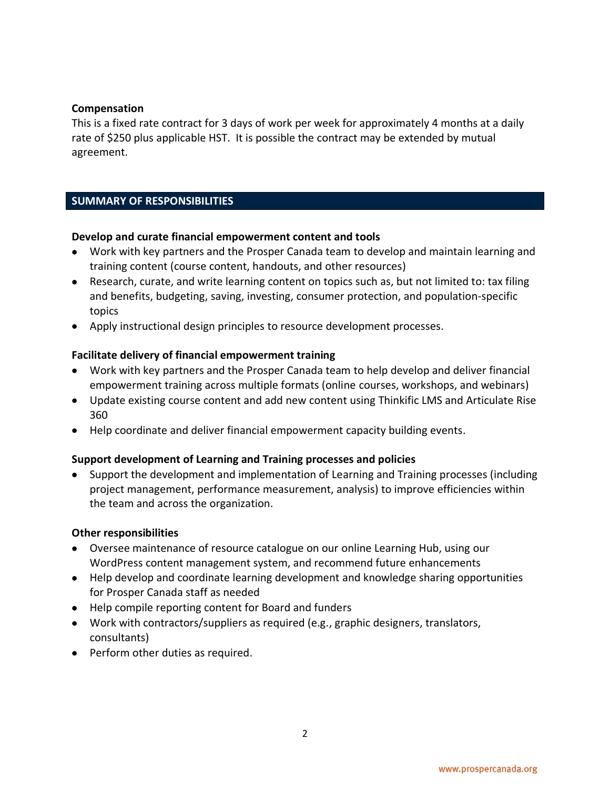# **Compensation**

This is a fixed rate contract for 3 days of work per week for approximately 4 months at a daily rate of \$250 plus applicable HST. It is possible the contract may be extended by mutual agreement.

# **SUMMARY OF RESPONSIBILITIES**

### **Develop and curate financial empowerment content and tools**

- Work with key partners and the Prosper Canada team to develop and maintain learning and training content (course content, handouts, and other resources)
- Research, curate, and write learning content on topics such as, but not limited to: tax filing and benefits, budgeting, saving, investing, consumer protection, and population-specific topics
- Apply instructional design principles to resource development processes.

### **Facilitate delivery of financial empowerment training**

- Work with key partners and the Prosper Canada team to help develop and deliver financial empowerment training across multiple formats (online courses, workshops, and webinars)
- Update existing course content and add new content using Thinkific LMS and Articulate Rise 360
- Help coordinate and deliver financial empowerment capacity building events.

# **Support development of Learning and Training processes and policies**

• Support the development and implementation of Learning and Training processes (including project management, performance measurement, analysis) to improve efficiencies within the team and across the organization.

#### **Other responsibilities**

- Oversee maintenance of resource catalogue on our online Learning Hub, using our WordPress content management system, and recommend future enhancements
- Help develop and coordinate learning development and knowledge sharing opportunities for Prosper Canada staff as needed
- Help compile reporting content for Board and funders
- Work with contractors/suppliers as required (e.g., graphic designers, translators, consultants)
- Perform other duties as required.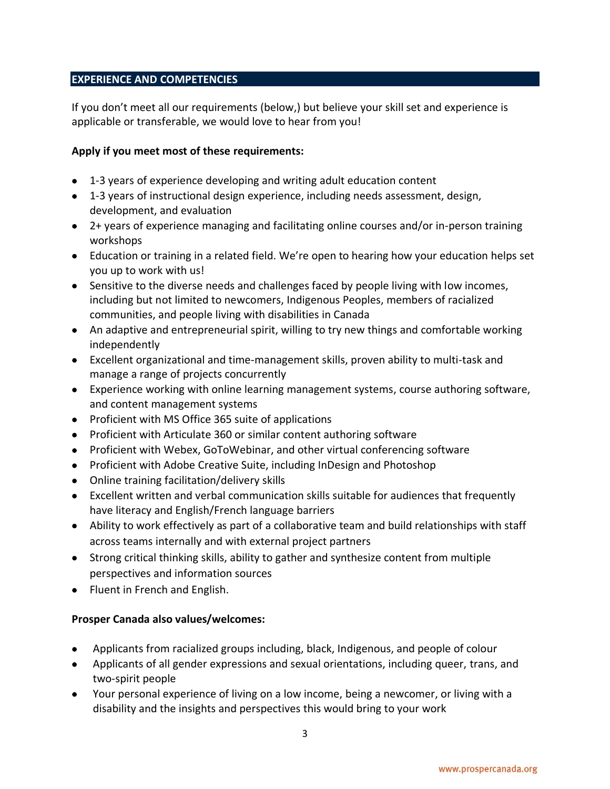# **EXPERIENCE AND COMPETENCIES**

If you don't meet all our requirements (below,) but believe your skill set and experience is applicable or transferable, we would love to hear from you!

# **Apply if you meet most of these requirements:**

- 1-3 years of experience developing and writing adult education content
- 1-3 years of instructional design experience, including needs assessment, design, development, and evaluation
- 2+ years of experience managing and facilitating online courses and/or in-person training workshops
- Education or training in a related field. We're open to hearing how your education helps set you up to work with us!
- Sensitive to the diverse needs and challenges faced by people living with low incomes, including but not limited to newcomers, Indigenous Peoples, members of racialized communities, and people living with disabilities in Canada
- An adaptive and entrepreneurial spirit, willing to try new things and comfortable working independently
- Excellent organizational and time-management skills, proven ability to multi-task and manage a range of projects concurrently
- Experience working with online learning management systems, course authoring software, and content management systems
- Proficient with MS Office 365 suite of applications
- Proficient with Articulate 360 or similar content authoring software
- Proficient with Webex, GoToWebinar, and other virtual conferencing software
- Proficient with Adobe Creative Suite, including InDesign and Photoshop
- Online training facilitation/delivery skills
- Excellent written and verbal communication skills suitable for audiences that frequently have literacy and English/French language barriers
- Ability to work effectively as part of a collaborative team and build relationships with staff across teams internally and with external project partners
- Strong critical thinking skills, ability to gather and synthesize content from multiple perspectives and information sources
- Fluent in French and English.

# **Prosper Canada also values/welcomes:**

- Applicants from racialized groups including, black, Indigenous, and people of colour
- Applicants of all gender expressions and sexual orientations, including queer, trans, and two-spirit people
- Your personal experience of living on a low income, being a newcomer, or living with a disability and the insights and perspectives this would bring to your work